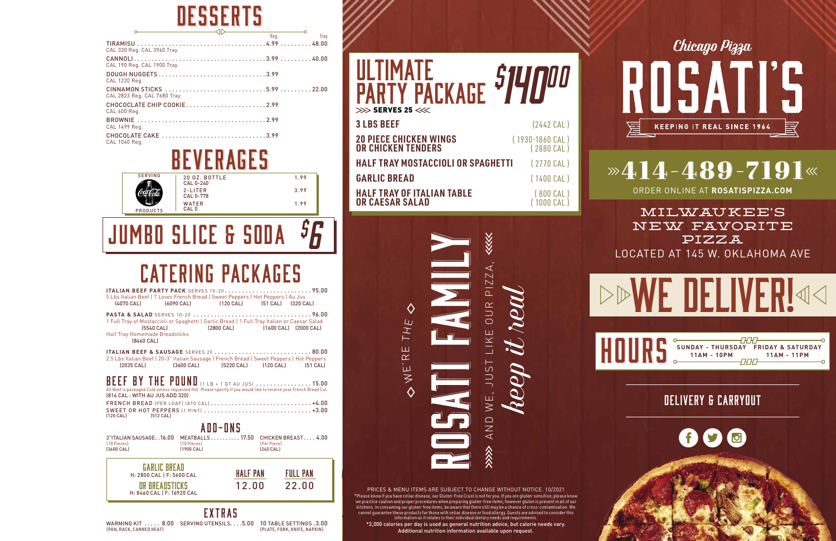## DESSERTS

| CAL 330 Reg. CAL 3960 Tray                 |  |  |
|--------------------------------------------|--|--|
| CAL 190 Reg. CAL 1900 Tray                 |  |  |
| DOUGH NUGGETS3.99<br>CAL 1220 Reg.         |  |  |
| CAL 2823 Reg. CAL 7680 Tray                |  |  |
| CHOCOCLATE CHIP COOKIE2.99<br>CAL 600 Reg. |  |  |
| CAL 1499 Reg.                              |  |  |
| CHOCOLATE CAKE 3.99<br>CAL 1040 Reg.       |  |  |





#### JUMBO SLICE & SODA *\$ 6*

#### CATERING PACKAGES

| 5 Lbs Italian Beef   7 Loves French Bread   Sweet Peppers   Hot Peppers   Au Jus<br>[4070 CAL]                                                                                                                                                                                                                               | (6090 CAL) (120 CAL) (51 CAL) (320 CAL)  |  |                          |  |  |  |
|------------------------------------------------------------------------------------------------------------------------------------------------------------------------------------------------------------------------------------------------------------------------------------------------------------------------------|------------------------------------------|--|--------------------------|--|--|--|
| 1 Full Tray of Mostaccioli or Spaghetti   Garlic Bread   1 Full Tray Italian or Caesar Salad<br>[5540 CAL]<br>Half Tray Homemade Breadsticks<br>[8460 CAL]                                                                                                                                                                   | [2800 CAL] [1600 CAL] [2000 CAL]         |  |                          |  |  |  |
| 2.5 Lbs Italian Beef   20-3" Italian Sausage   French Bread   Sweet Peppers   Hot Peppers<br>$[2035 \text{ CAL}]$                                                                                                                                                                                                            | [3600 CAL] (5220 CAL) (120 CAL) (51 CAL) |  |                          |  |  |  |
| BEEF BY THE POUND (1 LB + 1 QT AU JUS)  15.00<br>All Beef is packaged Cold unless requested Hot. Please specify if you would like to receive your French Bread Cut.<br>(814 CAL: WITH AU JUS ADD 320)<br>FRENCH BREAD (PER LOAF) (870 CAL)  +4.00<br>SWEET OR HOT PEPPERS (1 PINT)  +3.00<br>$[120 \text{ CA}]$<br>[512 CAL] |                                          |  |                          |  |  |  |
|                                                                                                                                                                                                                                                                                                                              | ADD-ONS                                  |  |                          |  |  |  |
| 3"ITALIAN SAUSAGE16.00 MEATBALLS 17.50 CHICKEN BREAST 4.00<br>$(10$ Pieces $)$<br>[3600 CAL]                                                                                                                                                                                                                                 | (10 Pieces)<br>[1900 CAL]                |  | (Per Piece)<br>[240 CAL] |  |  |  |
| <b>GARLIC BREAD</b><br>HALF PAN<br><b>FULL PAN</b><br>H: 2800 CAL   F: 5600 CAL<br>12.00<br>22.00<br>OR BREADSTICKS<br>H: 8460 CAL   F: 16920 CAL                                                                                                                                                                            |                                          |  |                          |  |  |  |
| EXTRAS<br>R 00 SERVING UTENSILS 500 10 TARLE SETTINGS 300<br>WARMING KIT                                                                                                                                                                                                                                                     |                                          |  |                          |  |  |  |

|                          | WARMING KIT  8.00 SERVING UTENSILS5.00 10 TABLE SETTINGS .3.00 |                              |
|--------------------------|----------------------------------------------------------------|------------------------------|
| (PAN, RACK, CANNED HEAT) |                                                                | (PLATE, FORK, KNIFE, NAPKIN) |

| PÄRTY PACKAGE <sup>\$14</sup> 00                           |                                           |
|------------------------------------------------------------|-------------------------------------------|
| $>>$ > SERVES 25 <<<<                                      |                                           |
| <b>3 LBS BEEF</b>                                          | $(2442 \text{ CAL})$                      |
| <b>20 PIECE CHICKEN WINGS</b><br><b>OR CHICKEN TENDERS</b> | $(1930 - 1860 \text{ CAL})$<br>(2880 CAL) |
| HALF TRAY MOSTACCIOLI OR SPAGHETTI                         | $(2770 \text{ CAL})$                      |
| <b>GARLIC BREAD</b>                                        | $(1400$ $CAL)$                            |
| <b>HALF TRAY OF ITALIAN TABLE</b><br>OR CAESAR SALAD       | $(800$ CAL)<br>(1000 CAL)                 |

PRICES & MENU ITEMS ARE SUBJECT TO CHANGE WITHOUT NOTICE. 10/2021 \*Please know if you have celiac disease, our Gluten-Free Crust is not for you. If you are gluten-sensitive, please know we practice caution and proper procedures when preparing gluten-free items, however gluten is present in all of our kitchens. In consuming our gluten-free items, be aware that there still may be a chance of cross-contamination. We cannot guarantee these products for those with celiac disease or food allergy. Guests are advised to consider this information as it relates to their individual dietary needs and requirements.

公众

ETHE <><br>AND WE, OUR PIZZA, THE OUR PIZZA, THE OUR PIZZA, THE OUR PIZZA, THE OUR PIZZA, THE OUR PIZZA, THE OUR PIZZA, T

 $\Diamond$ 

山  $\overline{\alpha}$ 

O WE'T

**keep it really defined** and  $\frac{1}{2}$ 

AND WE, JUST LIKE OUR PIZZA,<br>*heep it real* 

⋘

\*2,000 calories per day is used as general nutrition advice, but calorie needs vary. Additional nutrition information available upon request.

Chicago Pizza SATI RII

### $\mathbf{2414} - 489 - 7191$

**KEEPING IT REAL SINCE 1964** 

ORDER ONLINE AT **ROSATISPIZZA.COM**

MILWAUKEE 'S NEW FAVORITE PIZZA LOCATED AT 145 W. OKLAHOMA AVE

**DDWE DELIVER!44** 

|  |  | SUNDAY - THURSDAY FRIDAY & SATURDAY |             |
|--|--|-------------------------------------|-------------|
|  |  | $11AM - 10PM$                       | 11AM - 11PM |

DELIVERY & CARRYOUT